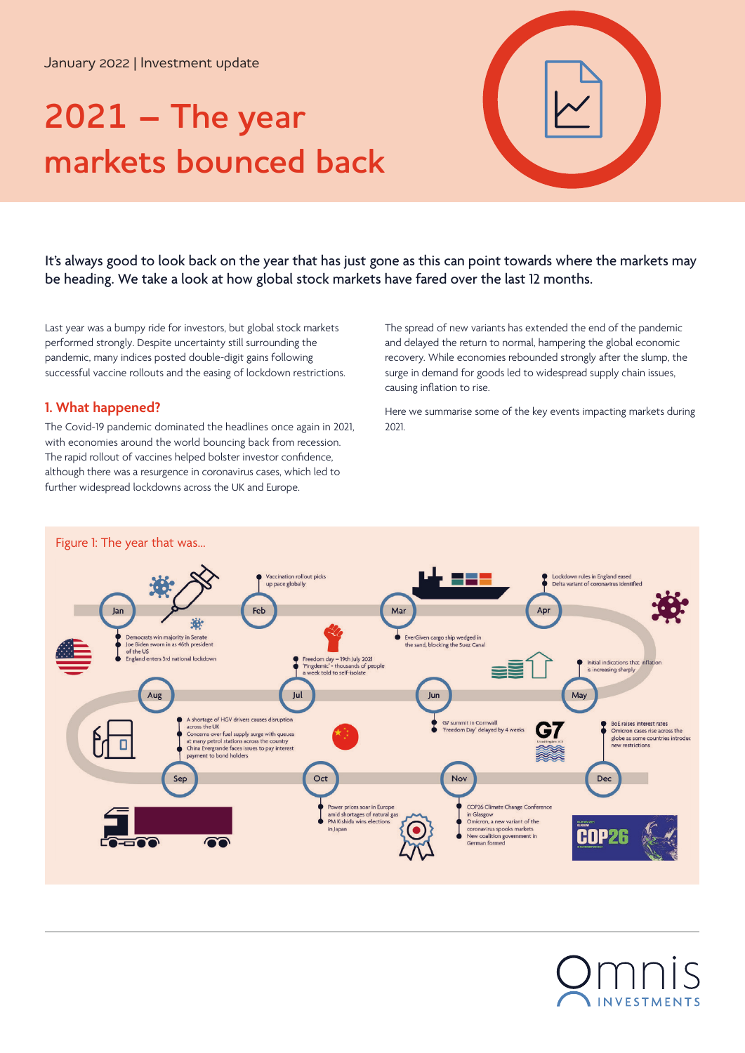January 2022 | Investment update

# **2021 – The year markets bounced back**



It's always good to look back on the year that has just gone as this can point towards where the markets may be heading. We take a look at how global stock markets have fared over the last 12 months.

Last year was a bumpy ride for investors, but global stock markets performed strongly. Despite uncertainty still surrounding the pandemic, many indices posted double-digit gains following successful vaccine rollouts and the easing of lockdown restrictions.

## **1. What happened?**

The Covid-19 pandemic dominated the headlines once again in 2021, with economies around the world bouncing back from recession. The rapid rollout of vaccines helped bolster investor confidence, although there was a resurgence in coronavirus cases, which led to further widespread lockdowns across the UK and Europe.

The spread of new variants has extended the end of the pandemic and delayed the return to normal, hampering the global economic recovery. While economies rebounded strongly after the slump, the surge in demand for goods led to widespread supply chain issues, causing inflation to rise.

Here we summarise some of the key events impacting markets during 2021.



NVESTMENTS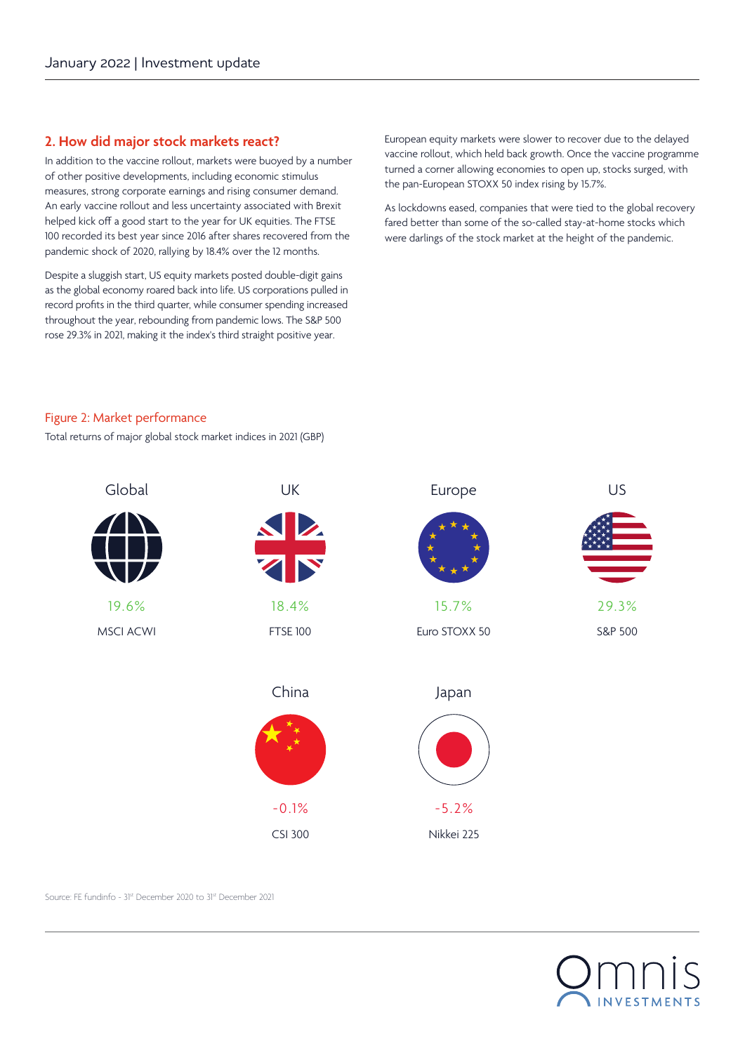## **2. How did major stock markets react?**

In addition to the vaccine rollout, markets were buoyed by a number of other positive developments, including economic stimulus measures, strong corporate earnings and rising consumer demand. An early vaccine rollout and less uncertainty associated with Brexit helped kick off a good start to the year for UK equities. The FTSE 100 recorded its best year since 2016 after shares recovered from the pandemic shock of 2020, rallying by 18.4% over the 12 months.

Despite a sluggish start, US equity markets posted double-digit gains as the global economy roared back into life. US corporations pulled in record profits in the third quarter, while consumer spending increased throughout the year, rebounding from pandemic lows. The S&P 500 rose 29.3% in 2021, making it the index's third straight positive year.

European equity markets were slower to recover due to the delayed vaccine rollout, which held back growth. Once the vaccine programme turned a corner allowing economies to open up, stocks surged, with the pan-European STOXX 50 index rising by 15.7%.

As lockdowns eased, companies that were tied to the global recovery fared better than some of the so-called stay-at-home stocks which were darlings of the stock market at the height of the pandemic.

#### Figure 2: Market performance

Total returns of major global stock market indices in 2021 (GBP)



Source: FE fundinfo - 31st December 2020 to 31st December 2021